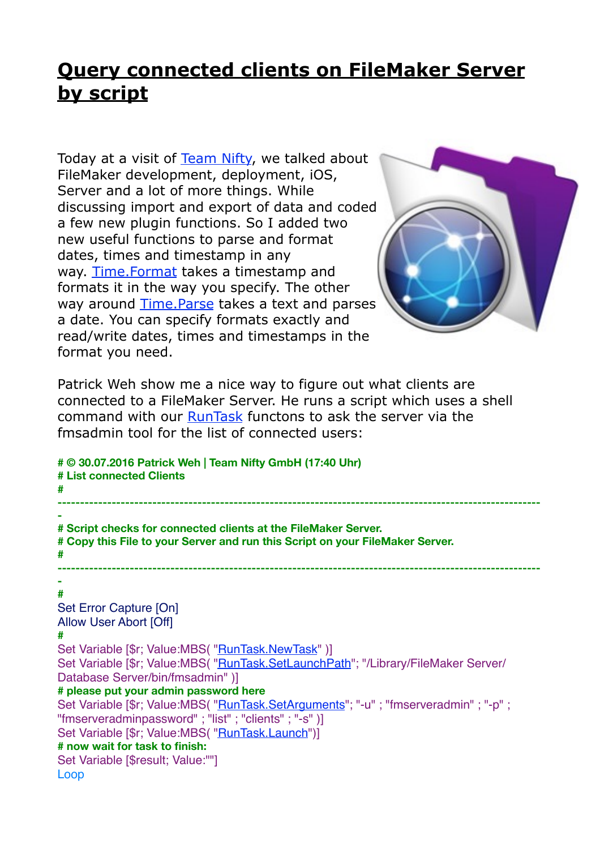## **[Query connected clients on FileMaker Server](http://www.mbs-plugins.com/archive/2016-08-17/Tip_of_the_day_Query_connected/monkeybreadsoftware_blog_filemaker)  by script**

Today at a visit of [Team Nifty](https://team-nifty.com/), we talked about FileMaker development, deployment, iOS, Server and a lot of more things. While discussing import and export of data and coded a few new plugin functions. So I added two new useful functions to parse and format dates, times and timestamp in any way. [Time.Format](http://mbsplugins.eu/TimeFormat.shtml) takes a timestamp and formats it in the way you specify. The other way around [Time.Parse](http://mbsplugins.eu/TimeParse.shtml) takes a text and parses a date. You can specify formats exactly and read/write dates, times and timestamps in the format you need.



Patrick Weh show me a nice way to figure out what clients are connected to a FileMaker Server. He runs a script which uses a shell command with our [RunTask](http://www.mbsplugins.eu/component_RunTask.shtml) functons to ask the server via the fmsadmin tool for the list of connected users:

**# © 30.07.2016 Patrick Weh | Team Nifty GmbH (17:40 Uhr) # List connected Clients # ----------------------------------------------------------------------------------------------------------- - # Script checks for connected clients at the FileMaker Server. # Copy this File to your Server and run this Script on your FileMaker Server. # ----------------------------------------------------------------------------------------------------------- - #** Set Error Capture [On] Allow User Abort [Off] **#** Set Variable [\$r; Value:MBS( ["RunTask.NewTask"](http://www.mbsplugins.eu/RunTaskNewTask.shtml) )] Set Variable [\$r; Value:MBS( ["RunTask.SetLaunchPath](http://www.mbsplugins.eu/RunTaskSetLaunchPath.shtml)"; "/Library/FileMaker Server/ Database Server/bin/fmsadmin" )] **# please put your admin password here** Set Variable [\$r; Value:MBS( "*RunTask.SetArguments*"; "-u" ; "fmserveradmin" ; "-p" ; "fmserveradminpassword" ; "list" ; "clients" ; "-s" )] Set Variable [\$r; Value:MBS( ["RunTask.Launch](http://www.mbsplugins.eu/RunTaskLaunch.shtml)")] **# now wait for task to finish:** Set Variable [\$result; Value:""] Loop